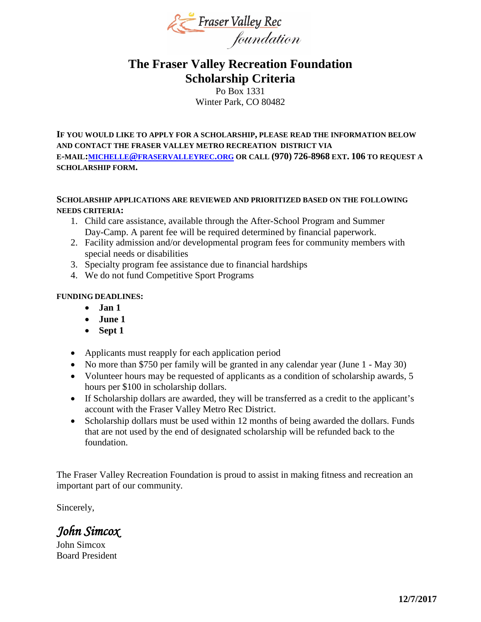

## **The Fraser Valley Recreation Foundation Scholarship Criteria**

Po Box 1331 Winter Park, CO 80482

**IF YOU WOULD LIKE TO APPLY FOR A SCHOLARSHIP, PLEASE READ THE INFORMATION BELOW AND CONTACT THE FRASER VALLEY METRO RECREATION DISTRICT VIA E-MAIL[:MICHELLE@FRASERVALLEYREC.ORG](mailto:michelle@fraservalleyrec.org) OR CALL (970) 726-8968 EXT. 106 TO REQUEST A SCHOLARSHIP FORM.**

## **SCHOLARSHIP APPLICATIONS ARE REVIEWED AND PRIORITIZED BASED ON THE FOLLOWING NEEDS CRITERIA:**

- 1. Child care assistance, available through the After-School Program and Summer Day-Camp. A parent fee will be required determined by financial paperwork.
- 2. Facility admission and/or developmental program fees for community members with special needs or disabilities
- 3. Specialty program fee assistance due to financial hardships
- 4. We do not fund Competitive Sport Programs

## **FUNDING DEADLINES:**

- **Jan 1**
- **June 1**
- **Sept 1**
- Applicants must reapply for each application period
- No more than \$750 per family will be granted in any calendar year (June 1 May 30)
- Volunteer hours may be requested of applicants as a condition of scholarship awards, 5 hours per \$100 in scholarship dollars.
- If Scholarship dollars are awarded, they will be transferred as a credit to the applicant's account with the Fraser Valley Metro Rec District.
- Scholarship dollars must be used within 12 months of being awarded the dollars. Funds that are not used by the end of designated scholarship will be refunded back to the foundation.

The Fraser Valley Recreation Foundation is proud to assist in making fitness and recreation an important part of our community.

Sincerely,

*John Simcox* 

John Simcox Board President